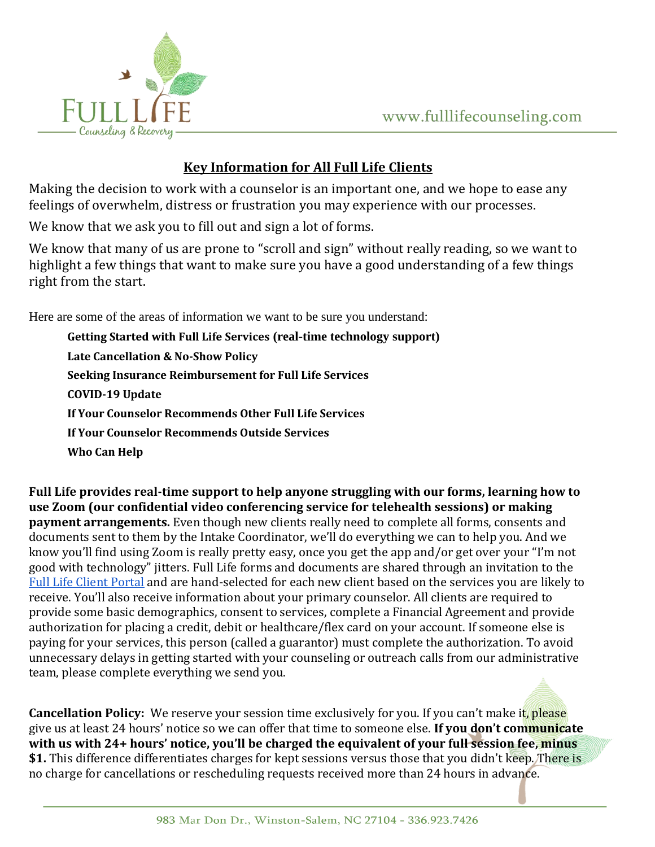

## **Key Information for All Full Life Clients**

Making the decision to work with a counselor is an important one, and we hope to ease any feelings of overwhelm, distress or frustration you may experience with our processes.

We know that we ask you to fill out and sign a lot of forms.

We know that many of us are prone to "scroll and sign" without really reading, so we want to highlight a few things that want to make sure you have a good understanding of a few things right from the start.

Here are some of the areas of information we want to be sure you understand:

**Getting Started with Full Life Services (real-time technology support) Late Cancellation & No-Show Policy Seeking Insurance Reimbursement for Full Life Services COVID-19 Update If Your Counselor Recommends Other Full Life Services If Your Counselor Recommends Outside Services Who Can Help**

**Full Life provides real-time support to help anyone struggling with our forms, learning how to use Zoom (our confidential video conferencing service for telehealth sessions) or making payment arrangements.** Even though new clients really need to complete all forms, consents and documents sent to them by the Intake Coordinator, we'll do everything we can to help you. And we know you'll find using Zoom is really pretty easy, once you get the app and/or get over your "I'm not good with technology" jitters. Full Life forms and documents are shared through an invitation to the [Full Life Client Portal](http://full-life.clientsecure.me/) and are hand-selected for each new client based on the services you are likely to receive. You'll also receive information about your primary counselor. All clients are required to provide some basic demographics, consent to services, complete a Financial Agreement and provide authorization for placing a credit, debit or healthcare/flex card on your account. If someone else is paying for your services, this person (called a guarantor) must complete the authorization. To avoid unnecessary delays in getting started with your counseling or outreach calls from our administrative team, please complete everything we send you.

**Cancellation Policy:** We reserve your session time exclusively for you. If you can't make it, please give us at least 24 hours' notice so we can offer that time to someone else. **If you don't communicate with us with 24+ hours' notice, you'll be charged the equivalent of your full session fee, minus \$1.** This difference differentiates charges for kept sessions versus those that you didn't keep. There is no charge for cancellations or rescheduling requests received more than 24 hours in advance.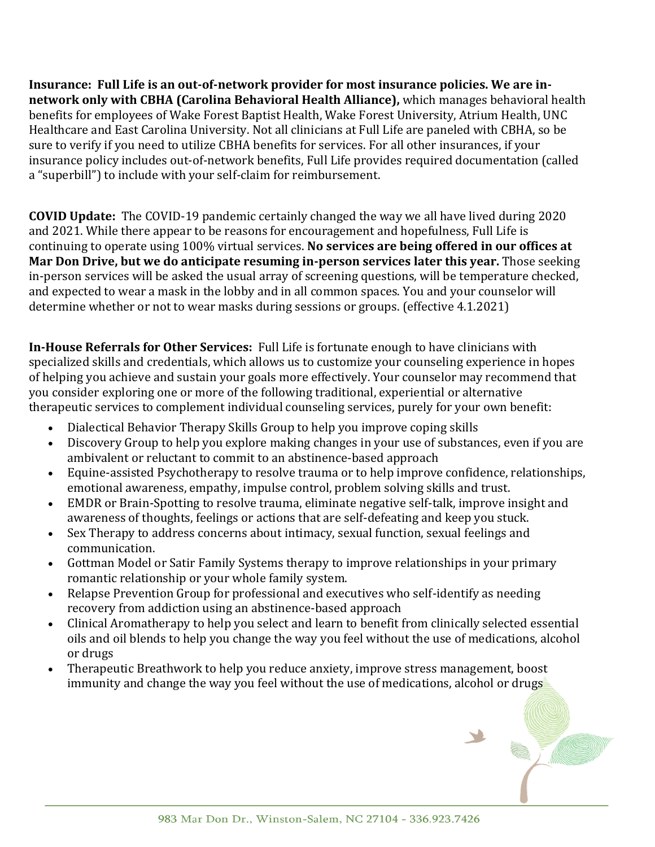**Insurance: Full Life is an out-of-network provider for most insurance policies. We are innetwork only with CBHA (Carolina Behavioral Health Alliance),** which manages behavioral health benefits for employees of Wake Forest Baptist Health, Wake Forest University, Atrium Health, UNC Healthcare and East Carolina University. Not all clinicians at Full Life are paneled with CBHA, so be sure to verify if you need to utilize CBHA benefits for services. For all other insurances, if your insurance policy includes out-of-network benefits, Full Life provides required documentation (called a "superbill") to include with your self-claim for reimbursement.

**COVID Update:** The COVID-19 pandemic certainly changed the way we all have lived during 2020 and 2021. While there appear to be reasons for encouragement and hopefulness, Full Life is continuing to operate using 100% virtual services. **No services are being offered in our offices at Mar Don Drive, but we do anticipate resuming in-person services later this year.** Those seeking in-person services will be asked the usual array of screening questions, will be temperature checked, and expected to wear a mask in the lobby and in all common spaces. You and your counselor will determine whether or not to wear masks during sessions or groups. (effective 4.1.2021)

**In-House Referrals for Other Services:** Full Life is fortunate enough to have clinicians with specialized skills and credentials, which allows us to customize your counseling experience in hopes of helping you achieve and sustain your goals more effectively. Your counselor may recommend that you consider exploring one or more of the following traditional, experiential or alternative therapeutic services to complement individual counseling services, purely for your own benefit:

- Dialectical Behavior Therapy Skills Group to help you improve coping skills
- Discovery Group to help you explore making changes in your use of substances, even if you are ambivalent or reluctant to commit to an abstinence-based approach
- Equine-assisted Psychotherapy to resolve trauma or to help improve confidence, relationships, emotional awareness, empathy, impulse control, problem solving skills and trust.
- EMDR or Brain-Spotting to resolve trauma, eliminate negative self-talk, improve insight and awareness of thoughts, feelings or actions that are self-defeating and keep you stuck.
- Sex Therapy to address concerns about intimacy, sexual function, sexual feelings and communication.
- Gottman Model or Satir Family Systems therapy to improve relationships in your primary romantic relationship or your whole family system.
- Relapse Prevention Group for professional and executives who self-identify as needing recovery from addiction using an abstinence-based approach
- Clinical Aromatherapy to help you select and learn to benefit from clinically selected essential oils and oil blends to help you change the way you feel without the use of medications, alcohol or drugs
- Therapeutic Breathwork to help you reduce anxiety, improve stress management, boost immunity and change the way you feel without the use of medications, alcohol or drugs

x